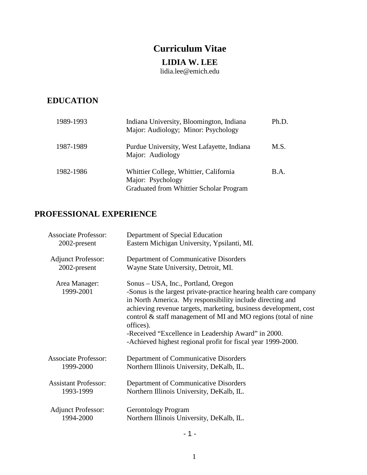# **Curriculum Vitae**

## **LIDIA W. LEE**

lidia.lee@emich.edu

## **EDUCATION**

| 1989-1993 | Indiana University, Bloomington, Indiana<br>Major: Audiology; Minor: Psychology                        | Ph.D. |
|-----------|--------------------------------------------------------------------------------------------------------|-------|
| 1987-1989 | Purdue University, West Lafayette, Indiana<br>Major: Audiology                                         | M.S.  |
| 1982-1986 | Whittier College, Whittier, California<br>Major: Psychology<br>Graduated from Whittier Scholar Program | B.A.  |

## **PROFESSIONAL EXPERIENCE**

| <b>Associate Professor:</b> | Department of Special Education                                                                                                                                                                                                                                                                                                                                                                                                                  |
|-----------------------------|--------------------------------------------------------------------------------------------------------------------------------------------------------------------------------------------------------------------------------------------------------------------------------------------------------------------------------------------------------------------------------------------------------------------------------------------------|
| 2002-present                | Eastern Michigan University, Ypsilanti, MI.                                                                                                                                                                                                                                                                                                                                                                                                      |
| <b>Adjunct Professor:</b>   | Department of Communicative Disorders                                                                                                                                                                                                                                                                                                                                                                                                            |
| 2002-present                | Wayne State University, Detroit, MI.                                                                                                                                                                                                                                                                                                                                                                                                             |
| Area Manager:<br>1999-2001  | Sonus – USA, Inc., Portland, Oregon<br>-Sonus is the largest private-practice hearing health care company<br>in North America. My responsibility include directing and<br>achieving revenue targets, marketing, business development, cost<br>control & staff management of MI and MO regions (total of nine<br>offices).<br>-Received "Excellence in Leadership Award" in 2000.<br>-Achieved highest regional profit for fiscal year 1999-2000. |
| <b>Associate Professor:</b> | Department of Communicative Disorders                                                                                                                                                                                                                                                                                                                                                                                                            |
| 1999-2000                   | Northern Illinois University, DeKalb, IL.                                                                                                                                                                                                                                                                                                                                                                                                        |
| <b>Assistant Professor:</b> | Department of Communicative Disorders                                                                                                                                                                                                                                                                                                                                                                                                            |
| 1993-1999                   | Northern Illinois University, DeKalb, IL.                                                                                                                                                                                                                                                                                                                                                                                                        |
| <b>Adjunct Professor:</b>   | <b>Gerontology Program</b>                                                                                                                                                                                                                                                                                                                                                                                                                       |
| 1994-2000                   | Northern Illinois University, DeKalb, IL.                                                                                                                                                                                                                                                                                                                                                                                                        |

- 1 -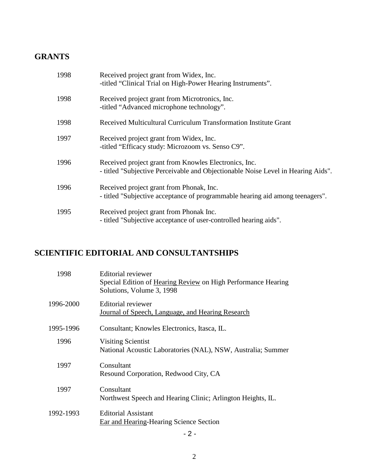## **GRANTS**

| 1998 | Received project grant from Widex, Inc.<br>-titled "Clinical Trial on High-Power Hearing Instruments".                                    |
|------|-------------------------------------------------------------------------------------------------------------------------------------------|
| 1998 | Received project grant from Microtronics, Inc.<br>-titled "Advanced microphone technology".                                               |
| 1998 | Received Multicultural Curriculum Transformation Institute Grant                                                                          |
| 1997 | Received project grant from Widex, Inc.<br>-titled "Efficacy study: Microzoom vs. Senso C9".                                              |
| 1996 | Received project grant from Knowles Electronics, Inc.<br>- titled "Subjective Perceivable and Objectionable Noise Level in Hearing Aids". |
| 1996 | Received project grant from Phonak, Inc.<br>- titled "Subjective acceptance of programmable hearing aid among teenagers".                 |
| 1995 | Received project grant from Phonak Inc.<br>- titled "Subjective acceptance of user-controlled hearing aids".                              |

# **SCIENTIFIC EDITORIAL AND CONSULTANTSHIPS**

| 1998      | Editorial reviewer<br>Special Edition of Hearing Review on High Performance Hearing<br>Solutions, Volume 3, 1998 |
|-----------|------------------------------------------------------------------------------------------------------------------|
| 1996-2000 | Editorial reviewer<br>Journal of Speech, Language, and Hearing Research                                          |
| 1995-1996 | Consultant; Knowles Electronics, Itasca, IL.                                                                     |
| 1996      | <b>Visiting Scientist</b><br>National Acoustic Laboratories (NAL), NSW, Australia; Summer                        |
| 1997      | Consultant<br>Resound Corporation, Redwood City, CA                                                              |
| 1997      | Consultant<br>Northwest Speech and Hearing Clinic; Arlington Heights, IL.                                        |
| 1992-1993 | <b>Editorial Assistant</b><br>Ear and Hearing-Hearing Science Section                                            |

 $-2 -$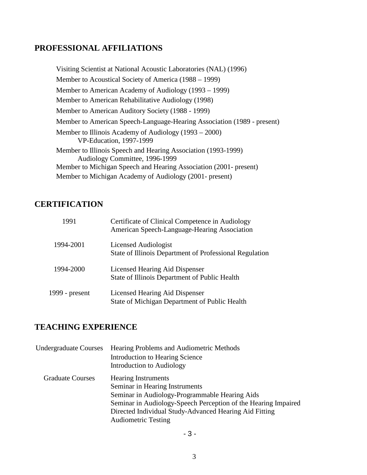### **PROFESSIONAL AFFILIATIONS**

 Visiting Scientist at National Acoustic Laboratories (NAL) (1996) Member to Acoustical Society of America (1988 – 1999) Member to American Academy of Audiology (1993 – 1999) Member to American Rehabilitative Audiology (1998) Member to American Auditory Society (1988 - 1999) Member to American Speech-Language-Hearing Association (1989 - present) Member to Illinois Academy of Audiology (1993 – 2000) VP-Education, 1997-1999 Member to Illinois Speech and Hearing Association (1993-1999) Audiology Committee, 1996-1999 Member to Michigan Speech and Hearing Association (2001- present) Member to Michigan Academy of Audiology (2001- present)

### **CERTIFICATION**

| 1991           | Certificate of Clinical Competence in Audiology<br>American Speech-Language-Hearing Association |
|----------------|-------------------------------------------------------------------------------------------------|
| 1994-2001      | Licensed Audiologist<br>State of Illinois Department of Professional Regulation                 |
| 1994-2000      | Licensed Hearing Aid Dispenser<br>State of Illinois Department of Public Health                 |
| 1999 - present | Licensed Hearing Aid Dispenser<br>State of Michigan Department of Public Health                 |

## **TEACHING EXPERIENCE**

| <b>Undergraduate Courses</b> | Hearing Problems and Audiometric Methods                       |
|------------------------------|----------------------------------------------------------------|
|                              | <b>Introduction to Hearing Science</b>                         |
|                              | Introduction to Audiology                                      |
| <b>Graduate Courses</b>      | <b>Hearing Instruments</b>                                     |
|                              | Seminar in Hearing Instruments                                 |
|                              | Seminar in Audiology-Programmable Hearing Aids                 |
|                              | Seminar in Audiology-Speech Perception of the Hearing Impaired |
|                              | Directed Individual Study-Advanced Hearing Aid Fitting         |
|                              | <b>Audiometric Testing</b>                                     |

- 3 -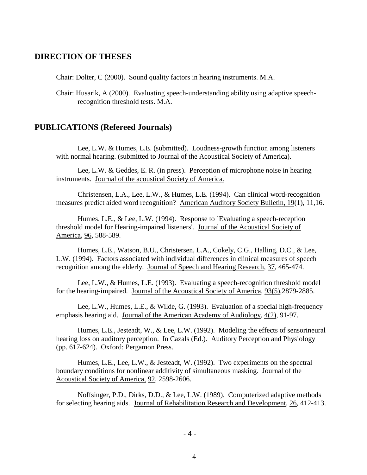#### **DIRECTION OF THESES**

Chair: Dolter, C (2000). Sound quality factors in hearing instruments. M.A.

Chair: Husarik, A (2000). Evaluating speech-understanding ability using adaptive speechrecognition threshold tests. M.A.

#### **PUBLICATIONS (Refereed Journals)**

Lee, L.W. & Humes, L.E. (submitted). Loudness-growth function among listeners with normal hearing. (submitted to Journal of the Acoustical Society of America).

Lee, L.W. & Geddes, E. R. (in press). Perception of microphone noise in hearing instruments. Journal of the acoustical Society of America.

Christensen, L.A., Lee, L.W., & Humes, L.E. (1994). Can clinical word-recognition measures predict aided word recognition? American Auditory Society Bulletin, 19(1), 11,16.

Humes, L.E., & Lee, L.W. (1994). Response to `Evaluating a speech-reception threshold model for Hearing-impaired listeners'. Journal of the Acoustical Society of America, 96, 588-589.

Humes, L.E., Watson, B.U., Christersen, L.A., Cokely, C.G., Halling, D.C., & Lee, L.W. (1994). Factors associated with individual differences in clinical measures of speech recognition among the elderly. Journal of Speech and Hearing Research, 37, 465-474.

Lee, L.W., & Humes, L.E. (1993). Evaluating a speech-recognition threshold model for the hearing-impaired. Journal of the Acoustical Society of America, 93(5),2879-2885.

Lee, L.W., Humes, L.E., & Wilde, G. (1993). Evaluation of a special high-frequency emphasis hearing aid. Journal of the American Academy of Audiology, 4(2), 91-97.

Humes, L.E., Jesteadt, W., & Lee, L.W. (1992). Modeling the effects of sensorineural hearing loss on auditory perception. In Cazals (Ed.). Auditory Perception and Physiology (pp. 617-624). Oxford: Pergamon Press.

Humes, L.E., Lee, L.W., & Jesteadt, W. (1992). Two experiments on the spectral boundary conditions for nonlinear additivity of simultaneous masking. Journal of the Acoustical Society of America, 92, 2598-2606.

Noffsinger, P.D., Dirks, D.D., & Lee, L.W. (1989). Computerized adaptive methods for selecting hearing aids. Journal of Rehabilitation Research and Development, 26, 412-413.

- 4 -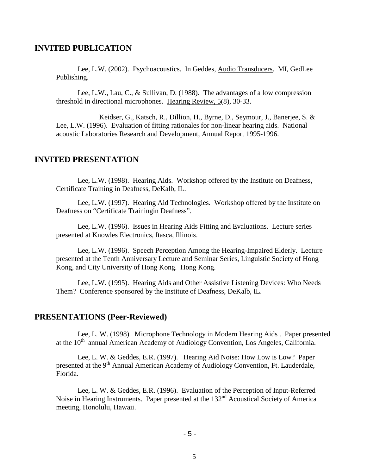#### **INVITED PUBLICATION**

Lee, L.W. (2002). Psychoacoustics. In Geddes, Audio Transducers. MI, GedLee Publishing.

Lee, L.W., Lau, C., & Sullivan, D. (1988). The advantages of a low compression threshold in directional microphones. Hearing Review, 5(8), 30-33.

Keidser, G., Katsch, R., Dillion, H., Byrne, D., Seymour, J., Banerjee, S. & Lee, L.W. (1996). Evaluation of fitting rationales for non-linear hearing aids. National acoustic Laboratories Research and Development, Annual Report 1995-1996.

#### **INVITED PRESENTATION**

Lee, L.W. (1998). Hearing Aids. Workshop offered by the Institute on Deafness, Certificate Training in Deafness, DeKalb, IL.

Lee, L.W. (1997). Hearing Aid Technologies. Workshop offered by the Institute on Deafness on "Certificate Trainingin Deafness".

Lee, L.W. (1996). Issues in Hearing Aids Fitting and Evaluations. Lecture series presented at Knowles Electronics, Itasca, Illinois.

Lee, L.W. (1996). Speech Perception Among the Hearing-Impaired Elderly. Lecture presented at the Tenth Anniversary Lecture and Seminar Series, Linguistic Society of Hong Kong, and City University of Hong Kong. Hong Kong.

Lee, L.W. (1995). Hearing Aids and Other Assistive Listening Devices: Who Needs Them? Conference sponsored by the Institute of Deafness, DeKalb, IL.

#### **PRESENTATIONS (Peer-Reviewed)**

Lee, L. W. (1998). Microphone Technology in Modern Hearing Aids . Paper presented at the 10<sup>th</sup> annual American Academy of Audiology Convention, Los Angeles, California.

Lee, L. W. & Geddes, E.R. (1997). Hearing Aid Noise: How Low is Low? Paper presented at the 9<sup>th</sup> Annual American Academy of Audiology Convention, Ft. Lauderdale, Florida.

Lee, L. W. & Geddes, E.R. (1996). Evaluation of the Perception of Input-Referred Noise in Hearing Instruments. Paper presented at the 132<sup>nd</sup> Acoustical Society of America meeting, Honolulu, Hawaii.

- 5 -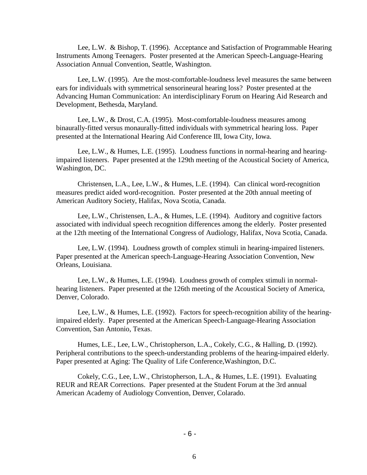Lee, L.W. & Bishop, T. (1996). Acceptance and Satisfaction of Programmable Hearing Instruments Among Teenagers. Poster presented at the American Speech-Language-Hearing Association Annual Convention, Seattle, Washington.

Lee, L.W. (1995). Are the most-comfortable-loudness level measures the same between ears for individuals with symmetrical sensorineural hearing loss? Poster presented at the Advancing Human Communication: An interdisciplinary Forum on Hearing Aid Research and Development, Bethesda, Maryland.

Lee, L.W., & Drost, C.A. (1995). Most-comfortable-loudness measures among binaurally-fitted versus monaurally-fitted individuals with symmetrical hearing loss. Paper presented at the International Hearing Aid Conference III, Iowa City, Iowa.

Lee, L.W., & Humes, L.E. (1995). Loudness functions in normal-hearing and hearingimpaired listeners. Paper presented at the 129th meeting of the Acoustical Society of America, Washington, DC.

Christensen, L.A., Lee, L.W., & Humes, L.E. (1994). Can clinical word-recognition measures predict aided word-recognition. Poster presented at the 20th annual meeting of American Auditory Society, Halifax, Nova Scotia, Canada.

Lee, L.W., Christensen, L.A., & Humes, L.E. (1994). Auditory and cognitive factors associated with individual speech recognition differences among the elderly. Poster presented at the 12th meeting of the International Congress of Audiology, Halifax, Nova Scotia, Canada.

Lee, L.W. (1994). Loudness growth of complex stimuli in hearing-impaired listeners. Paper presented at the American speech-Language-Hearing Association Convention, New Orleans, Louisiana.

Lee, L.W., & Humes, L.E. (1994). Loudness growth of complex stimuli in normalhearing listeners. Paper presented at the 126th meeting of the Acoustical Society of America, Denver, Colorado.

Lee, L.W., & Humes, L.E. (1992). Factors for speech-recognition ability of the hearingimpaired elderly. Paper presented at the American Speech-Language-Hearing Association Convention, San Antonio, Texas.

Humes, L.E., Lee, L.W., Christopherson, L.A., Cokely, C.G., & Halling, D. (1992). Peripheral contributions to the speech-understanding problems of the hearing-impaired elderly. Paper presented at Aging: The Quality of Life Conference,Washington, D.C.

Cokely, C.G., Lee, L.W., Christopherson, L.A., & Humes, L.E. (1991). Evaluating REUR and REAR Corrections. Paper presented at the Student Forum at the 3rd annual American Academy of Audiology Convention, Denver, Colarado.

- 6 -